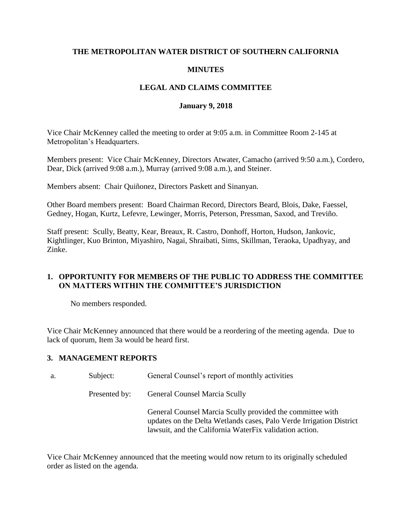### **THE METROPOLITAN WATER DISTRICT OF SOUTHERN CALIFORNIA**

### **MINUTES**

## **LEGAL AND CLAIMS COMMITTEE**

#### **January 9, 2018**

Vice Chair McKenney called the meeting to order at 9:05 a.m. in Committee Room 2-145 at Metropolitan's Headquarters.

Members present: Vice Chair McKenney, Directors Atwater, Camacho (arrived 9:50 a.m.), Cordero, Dear, Dick (arrived 9:08 a.m.), Murray (arrived 9:08 a.m.), and Steiner.

Members absent: Chair Quiñonez, Directors Paskett and Sinanyan.

Other Board members present: Board Chairman Record, Directors Beard, Blois, Dake, Faessel, Gedney, Hogan, Kurtz, Lefevre, Lewinger, Morris, Peterson, Pressman, Saxod, and Treviño.

Staff present: Scully, Beatty, Kear, Breaux, R. Castro, Donhoff, Horton, Hudson, Jankovic, Kightlinger, Kuo Brinton, Miyashiro, Nagai, Shraibati, Sims, Skillman, Teraoka, Upadhyay, and Zinke.

## **1. OPPORTUNITY FOR MEMBERS OF THE PUBLIC TO ADDRESS THE COMMITTEE ON MATTERS WITHIN THE COMMITTEE'S JURISDICTION**

No members responded.

Vice Chair McKenney announced that there would be a reordering of the meeting agenda. Due to lack of quorum, Item 3a would be heard first.

#### **3. MANAGEMENT REPORTS**

| а. | Subject:      | General Counsel's report of monthly activities                                                                                                                                              |  |
|----|---------------|---------------------------------------------------------------------------------------------------------------------------------------------------------------------------------------------|--|
|    | Presented by: | <b>General Counsel Marcia Scully</b>                                                                                                                                                        |  |
|    |               | General Counsel Marcia Scully provided the committee with<br>updates on the Delta Wetlands cases, Palo Verde Irrigation District<br>lawsuit, and the California WaterFix validation action. |  |

Vice Chair McKenney announced that the meeting would now return to its originally scheduled order as listed on the agenda.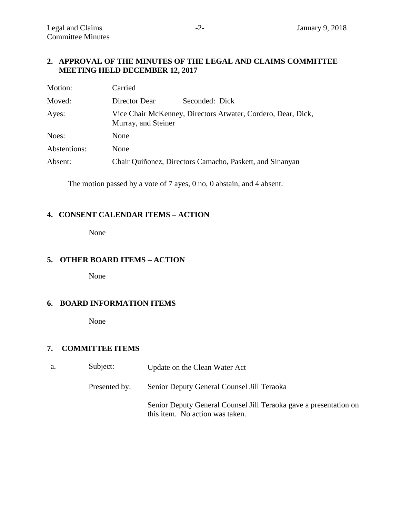### **2. APPROVAL OF THE MINUTES OF THE LEGAL AND CLAIMS COMMITTEE MEETING HELD DECEMBER 12, 2017**

| Motion:      | Carried             |                                                              |
|--------------|---------------------|--------------------------------------------------------------|
| Moved:       | Director Dear       | Seconded: Dick                                               |
| Ayes:        | Murray, and Steiner | Vice Chair McKenney, Directors Atwater, Cordero, Dear, Dick, |
| Noes:        | None                |                                                              |
| Abstentions: | None                |                                                              |
| Absent:      |                     | Chair Quiñonez, Directors Camacho, Paskett, and Sinanyan     |

The motion passed by a vote of 7 ayes, 0 no, 0 abstain, and 4 absent.

#### **4. CONSENT CALENDAR ITEMS – ACTION**

None

## **5. OTHER BOARD ITEMS – ACTION**

None

## **6. BOARD INFORMATION ITEMS**

None

## **7. COMMITTEE ITEMS**

| а. | Subject:      | Update on the Clean Water Act                                                                        |
|----|---------------|------------------------------------------------------------------------------------------------------|
|    | Presented by: | Senior Deputy General Counsel Jill Teraoka                                                           |
|    |               | Senior Deputy General Counsel Jill Teraoka gave a presentation on<br>this item. No action was taken. |